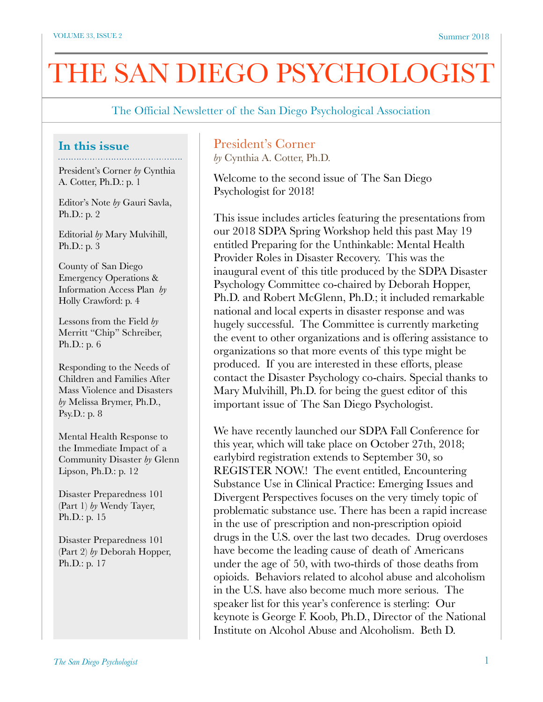# THE SAN DIEGO PSYCHOLOGIST

The Official Newsletter of the San Diego Psychological Association

#### **In this issue**

President's Corner *by* Cynthia A. Cotter, Ph.D.: p. 1

Editor's Note *by* Gauri Savla, Ph.D.: p. 2

Editorial *by* Mary Mulvihill, Ph.D.: p. 3

County of San Diego Emergency Operations & Information Access Plan *by*  Holly Crawford: p. 4

Lessons from the Field *by* Merritt "Chip" Schreiber, Ph.D.: p. 6

Responding to the Needs of Children and Families After Mass Violence and Disasters *by* Melissa Brymer, Ph.D., Psy.D.: p. 8

Mental Health Response to the Immediate Impact of a Community Disaster *by* Glenn Lipson, Ph.D.: p. 12

Disaster Preparedness 101 (Part 1) *by* Wendy Tayer, Ph.D.: p. 15

Disaster Preparedness 101 (Part 2) *by* Deborah Hopper, Ph.D.: p. 17

# President's Corner

*by* Cynthia A. Cotter, Ph.D.

Welcome to the second issue of The San Diego Psychologist for 2018!

This issue includes articles featuring the presentations from our 2018 SDPA Spring Workshop held this past May 19 entitled Preparing for the Unthinkable: Mental Health Provider Roles in Disaster Recovery. This was the inaugural event of this title produced by the SDPA Disaster Psychology Committee co-chaired by Deborah Hopper, Ph.D. and Robert McGlenn, Ph.D.; it included remarkable national and local experts in disaster response and was hugely successful. The Committee is currently marketing the event to other organizations and is offering assistance to organizations so that more events of this type might be produced. If you are interested in these efforts, please contact the Disaster Psychology co-chairs. Special thanks to Mary Mulvihill, Ph.D. for being the guest editor of this important issue of The San Diego Psychologist.

We have recently launched our SDPA Fall Conference for this year, which will take place on October 27th, 2018; earlybird registration extends to September 30, so REGISTER NOW.! The event entitled, Encountering Substance Use in Clinical Practice: Emerging Issues and Divergent Perspectives focuses on the very timely topic of problematic substance use. There has been a rapid increase in the use of prescription and non-prescription opioid drugs in the U.S. over the last two decades. Drug overdoses have become the leading cause of death of Americans under the age of 50, with two-thirds of those deaths from opioids. Behaviors related to alcohol abuse and alcoholism in the U.S. have also become much more serious. The speaker list for this year's conference is sterling: Our keynote is George F. Koob, Ph.D., Director of the National Institute on Alcohol Abuse and Alcoholism. Beth D.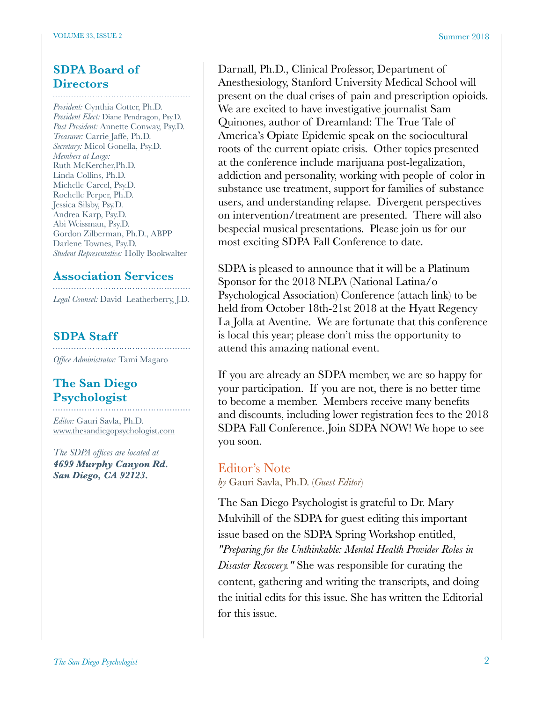#### **SDPA Board of Directors**

*President:* Cynthia Cotter, Ph.D. *President Elect:* Diane Pendragon, Psy.D. *Past President:* Annette Conway, Psy.D. *Treasurer:* Carrie Jaffe, Ph.D. *Secretary:* Micol Gonella, Psy.D. *Members at Large:* Ruth McKercher,Ph.D. Linda Collins, Ph.D. Michelle Carcel, Psy.D. Rochelle Perper, Ph.D. Jessica Silsby, Psy.D. Andrea Karp, Psy.D. Abi Weissman, Psy.D. Gordon Zilberman, Ph.D., ABPP Darlene Townes, Psy.D. *Student Representative:* Holly Bookwalter

#### **Association Services**

*Legal Counsel:* David Leatherberry, J.D.

### **SDPA Staff**

*Office Administrator:* Tami Magaro

## **The San Diego Psychologist**

*Editor:* Gauri Savla, Ph.D. [www.thesandiegopsychologist.com](http://www.thesandiegopsychologist.com)

*The SDPA offices are located at 4699 Murphy Canyon Rd. San Diego, CA 92123.* 

Darnall, Ph.D., Clinical Professor, Department of Anesthesiology, Stanford University Medical School will present on the dual crises of pain and prescription opioids. We are excited to have investigative journalist Sam Quinones, author of Dreamland: The True Tale of America's Opiate Epidemic speak on the sociocultural roots of the current opiate crisis. Other topics presented at the conference include marijuana post-legalization, addiction and personality, working with people of color in substance use treatment, support for families of substance users, and understanding relapse. Divergent perspectives on intervention/treatment are presented. There will also bespecial musical presentations. Please join us for our most exciting SDPA Fall Conference to date.

SDPA is pleased to announce that it will be a Platinum Sponsor for the 2018 NLPA (National Latina/o Psychological Association) Conference (attach link) to be held from October 18th-21st 2018 at the Hyatt Regency La Jolla at Aventine. We are fortunate that this conference is local this year; please don't miss the opportunity to attend this amazing national event.

If you are already an SDPA member, we are so happy for your participation. If you are not, there is no better time to become a member. Members receive many benefits and discounts, including lower registration fees to the 2018 SDPA Fall Conference. Join SDPA NOW! We hope to see you soon.

# Editor's Note

*by* Gauri Savla, Ph.D. (*Guest Editor*)

The San Diego Psychologist is grateful to Dr. Mary Mulvihill of the SDPA for guest editing this important issue based on the SDPA Spring Workshop entitled, *"Preparing for the Unthinkable: Mental Health Provider Roles in Disaster Recovery."* She was responsible for curating the content, gathering and writing the transcripts, and doing the initial edits for this issue. She has written the Editorial for this issue.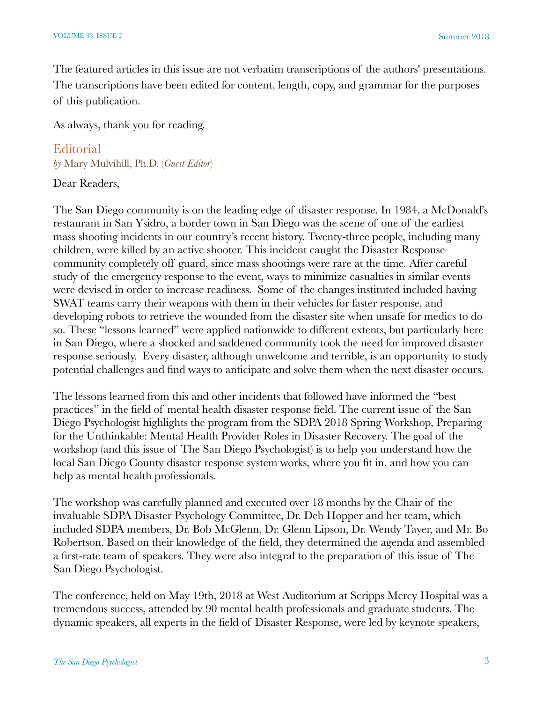The featured articles in this issue are not verbatim transcriptions of the authors' presentations. The transcriptions have been edited for content, length, copy, and grammar for the purposes of this publication.

As always, thank you for reading.

#### **Editorial**

*by* Mary Mulvihill, Ph.D. (*Guest Editor*)

#### Dear Readers,

The San Diego community is on the leading edge of disaster response. In 1984, a McDonald's restaurant in San Ysidro, a border town in San Diego was the scene of one of the earliest mass shooting incidents in our country's recent history. Twenty-three people, including many children, were killed by an active shooter. This incident caught the Disaster Response community completely off guard, since mass shootings were rare at the time. After careful study of the emergency response to the event, ways to minimize casualties in similar events were devised in order to increase readiness. Some of the changes instituted included having SWAT teams carry their weapons with them in their vehicles for faster response, and developing robots to retrieve the wounded from the disaster site when unsafe for medics to do so. These "lessons learned" were applied nationwide to different extents, but particularly here in San Diego, where a shocked and saddened community took the need for improved disaster response seriously. Every disaster, although unwelcome and terrible, is an opportunity to study potential challenges and find ways to anticipate and solve them when the next disaster occurs.

The lessons learned from this and other incidents that followed have informed the "best practices" in the field of mental health disaster response field. The current issue of the San Diego Psychologist highlights the program from the SDPA 2018 Spring Workshop, Preparing for the Unthinkable: Mental Health Provider Roles in Disaster Recovery. The goal of the workshop (and this issue of The San Diego Psychologist) is to help you understand how the local San Diego County disaster response system works, where you fit in, and how you can help as mental health professionals.

The workshop was carefully planned and executed over 18 months by the Chair of the invaluable SDPA Disaster Psychology Committee, Dr. Deb Hopper and her team, which included SDPA members, Dr. Bob McGlenn, Dr. Glenn Lipson, Dr. Wendy Tayer, and Mr. Bo Robertson. Based on their knowledge of the field, they determined the agenda and assembled a first-rate team of speakers. They were also integral to the preparation of this issue of The San Diego Psychologist.

The conference, held on May 19th, 2018 at West Auditorium at Scripps Mercy Hospital was a tremendous success, attended by 90 mental health professionals and graduate students. The dynamic speakers, all experts in the field of Disaster Response, were led by keynote speakers,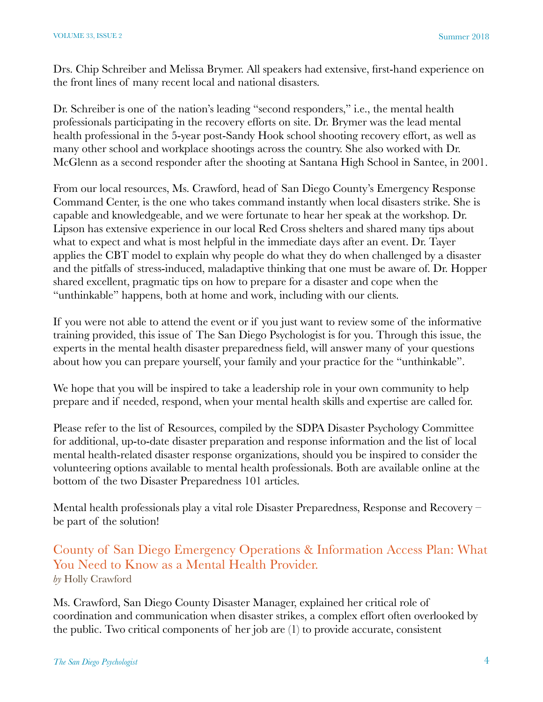Drs. Chip Schreiber and Melissa Brymer. All speakers had extensive, first-hand experience on the front lines of many recent local and national disasters.

Dr. Schreiber is one of the nation's leading "second responders," i.e., the mental health professionals participating in the recovery efforts on site. Dr. Brymer was the lead mental health professional in the 5-year post-Sandy Hook school shooting recovery effort, as well as many other school and workplace shootings across the country. She also worked with Dr. McGlenn as a second responder after the shooting at Santana High School in Santee, in 2001.

From our local resources, Ms. Crawford, head of San Diego County's Emergency Response Command Center, is the one who takes command instantly when local disasters strike. She is capable and knowledgeable, and we were fortunate to hear her speak at the workshop. Dr. Lipson has extensive experience in our local Red Cross shelters and shared many tips about what to expect and what is most helpful in the immediate days after an event. Dr. Tayer applies the CBT model to explain why people do what they do when challenged by a disaster and the pitfalls of stress-induced, maladaptive thinking that one must be aware of. Dr. Hopper shared excellent, pragmatic tips on how to prepare for a disaster and cope when the "unthinkable" happens, both at home and work, including with our clients.

If you were not able to attend the event or if you just want to review some of the informative training provided, this issue of The San Diego Psychologist is for you. Through this issue, the experts in the mental health disaster preparedness field, will answer many of your questions about how you can prepare yourself, your family and your practice for the "unthinkable".

We hope that you will be inspired to take a leadership role in your own community to help prepare and if needed, respond, when your mental health skills and expertise are called for.

Please refer to the list of Resources, compiled by the SDPA Disaster Psychology Committee for additional, up-to-date disaster preparation and response information and the list of local mental health-related disaster response organizations, should you be inspired to consider the volunteering options available to mental health professionals. Both are available online at the bottom of the two Disaster Preparedness 101 articles.

Mental health professionals play a vital role Disaster Preparedness, Response and Recovery – be part of the solution!

# County of San Diego Emergency Operations & Information Access Plan: What You Need to Know as a Mental Health Provider. *by* Holly Crawford

Ms. Crawford, San Diego County Disaster Manager, explained her critical role of coordination and communication when disaster strikes, a complex effort often overlooked by the public. Two critical components of her job are (1) to provide accurate, consistent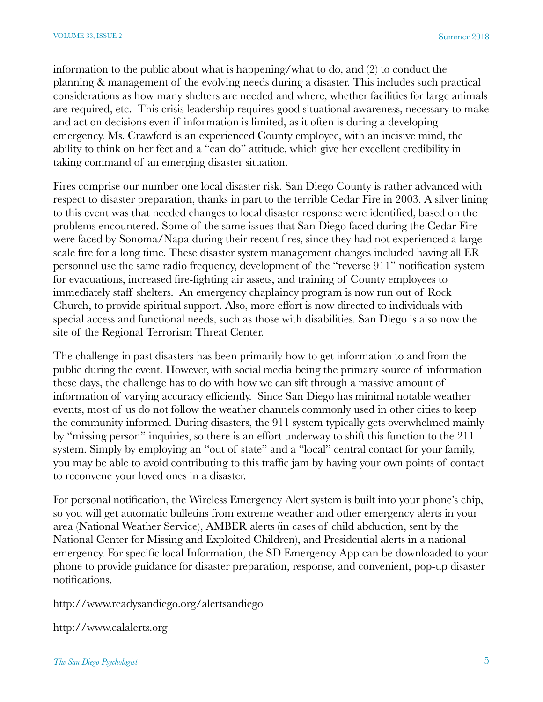information to the public about what is happening/what to do, and (2) to conduct the planning & management of the evolving needs during a disaster. This includes such practical considerations as how many shelters are needed and where, whether facilities for large animals are required, etc. This crisis leadership requires good situational awareness, necessary to make and act on decisions even if information is limited, as it often is during a developing emergency. Ms. Crawford is an experienced County employee, with an incisive mind, the ability to think on her feet and a "can do" attitude, which give her excellent credibility in taking command of an emerging disaster situation.

Fires comprise our number one local disaster risk. San Diego County is rather advanced with respect to disaster preparation, thanks in part to the terrible Cedar Fire in 2003. A silver lining to this event was that needed changes to local disaster response were identified, based on the problems encountered. Some of the same issues that San Diego faced during the Cedar Fire were faced by Sonoma/Napa during their recent fires, since they had not experienced a large scale fire for a long time. These disaster system management changes included having all ER personnel use the same radio frequency, development of the "reverse 911" notification system for evacuations, increased fire-fighting air assets, and training of County employees to immediately staff shelters. An emergency chaplaincy program is now run out of Rock Church, to provide spiritual support. Also, more effort is now directed to individuals with special access and functional needs, such as those with disabilities. San Diego is also now the site of the Regional Terrorism Threat Center.

The challenge in past disasters has been primarily how to get information to and from the public during the event. However, with social media being the primary source of information these days, the challenge has to do with how we can sift through a massive amount of information of varying accuracy efficiently. Since San Diego has minimal notable weather events, most of us do not follow the weather channels commonly used in other cities to keep the community informed. During disasters, the 911 system typically gets overwhelmed mainly by "missing person" inquiries, so there is an effort underway to shift this function to the 211 system. Simply by employing an "out of state" and a "local" central contact for your family, you may be able to avoid contributing to this traffic jam by having your own points of contact to reconvene your loved ones in a disaster.

For personal notification, the Wireless Emergency Alert system is built into your phone's chip, so you will get automatic bulletins from extreme weather and other emergency alerts in your area (National Weather Service), AMBER alerts (in cases of child abduction, sent by the National Center for Missing and Exploited Children), and Presidential alerts in a national emergency. For specific local Information, the SD Emergency App can be downloaded to your phone to provide guidance for disaster preparation, response, and convenient, pop-up disaster notifications.

http://www.readysandiego.org/alertsandiego

http://www.calalerts.org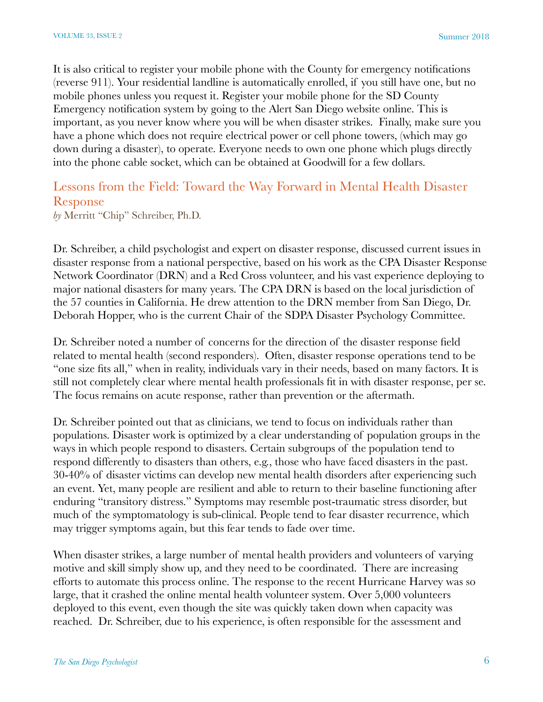It is also critical to register your mobile phone with the County for emergency notifications (reverse 911). Your residential landline is automatically enrolled, if you still have one, but no mobile phones unless you request it. Register your mobile phone for the SD County Emergency notification system by going to the Alert San Diego website online. This is important, as you never know where you will be when disaster strikes. Finally, make sure you have a phone which does not require electrical power or cell phone towers, (which may go down during a disaster), to operate. Everyone needs to own one phone which plugs directly into the phone cable socket, which can be obtained at Goodwill for a few dollars.

# Lessons from the Field: Toward the Way Forward in Mental Health Disaster Response

*by* Merritt "Chip" Schreiber, Ph.D.

Dr. Schreiber, a child psychologist and expert on disaster response, discussed current issues in disaster response from a national perspective, based on his work as the CPA Disaster Response Network Coordinator (DRN) and a Red Cross volunteer, and his vast experience deploying to major national disasters for many years. The CPA DRN is based on the local jurisdiction of the 57 counties in California. He drew attention to the DRN member from San Diego, Dr. Deborah Hopper, who is the current Chair of the SDPA Disaster Psychology Committee.

Dr. Schreiber noted a number of concerns for the direction of the disaster response field related to mental health (second responders). Often, disaster response operations tend to be "one size fits all," when in reality, individuals vary in their needs, based on many factors. It is still not completely clear where mental health professionals fit in with disaster response, per se. The focus remains on acute response, rather than prevention or the aftermath.

Dr. Schreiber pointed out that as clinicians, we tend to focus on individuals rather than populations. Disaster work is optimized by a clear understanding of population groups in the ways in which people respond to disasters. Certain subgroups of the population tend to respond differently to disasters than others, e.g., those who have faced disasters in the past. 30-40% of disaster victims can develop new mental health disorders after experiencing such an event. Yet, many people are resilient and able to return to their baseline functioning after enduring "transitory distress." Symptoms may resemble post-traumatic stress disorder, but much of the symptomatology is sub-clinical. People tend to fear disaster recurrence, which may trigger symptoms again, but this fear tends to fade over time.

When disaster strikes, a large number of mental health providers and volunteers of varying motive and skill simply show up, and they need to be coordinated. There are increasing efforts to automate this process online. The response to the recent Hurricane Harvey was so large, that it crashed the online mental health volunteer system. Over 5,000 volunteers deployed to this event, even though the site was quickly taken down when capacity was reached. Dr. Schreiber, due to his experience, is often responsible for the assessment and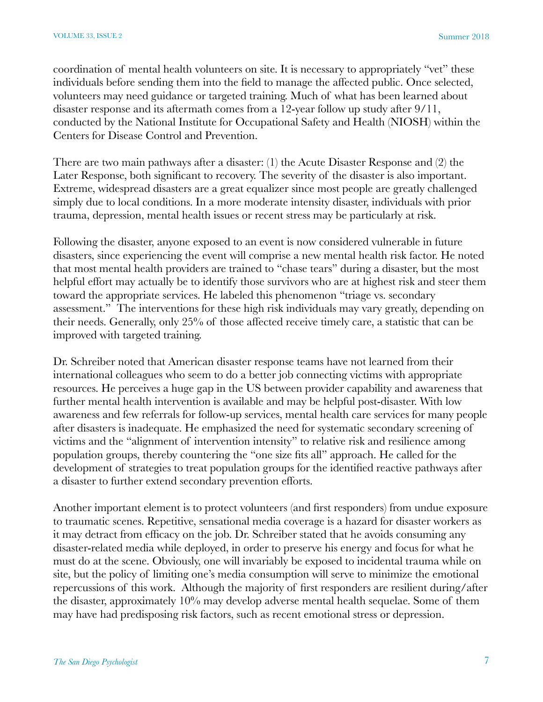coordination of mental health volunteers on site. It is necessary to appropriately "vet" these individuals before sending them into the field to manage the affected public. Once selected, volunteers may need guidance or targeted training. Much of what has been learned about disaster response and its aftermath comes from a 12-year follow up study after 9/11, conducted by the National Institute for Occupational Safety and Health (NIOSH) within the Centers for Disease Control and Prevention.

There are two main pathways after a disaster: (1) the Acute Disaster Response and (2) the Later Response, both significant to recovery. The severity of the disaster is also important. Extreme, widespread disasters are a great equalizer since most people are greatly challenged simply due to local conditions. In a more moderate intensity disaster, individuals with prior trauma, depression, mental health issues or recent stress may be particularly at risk.

Following the disaster, anyone exposed to an event is now considered vulnerable in future disasters, since experiencing the event will comprise a new mental health risk factor. He noted that most mental health providers are trained to "chase tears" during a disaster, but the most helpful effort may actually be to identify those survivors who are at highest risk and steer them toward the appropriate services. He labeled this phenomenon "triage vs. secondary assessment." The interventions for these high risk individuals may vary greatly, depending on their needs. Generally, only 25% of those affected receive timely care, a statistic that can be improved with targeted training.

Dr. Schreiber noted that American disaster response teams have not learned from their international colleagues who seem to do a better job connecting victims with appropriate resources. He perceives a huge gap in the US between provider capability and awareness that further mental health intervention is available and may be helpful post-disaster. With low awareness and few referrals for follow-up services, mental health care services for many people after disasters is inadequate. He emphasized the need for systematic secondary screening of victims and the "alignment of intervention intensity" to relative risk and resilience among population groups, thereby countering the "one size fits all" approach. He called for the development of strategies to treat population groups for the identified reactive pathways after a disaster to further extend secondary prevention efforts.

Another important element is to protect volunteers (and first responders) from undue exposure to traumatic scenes. Repetitive, sensational media coverage is a hazard for disaster workers as it may detract from efficacy on the job. Dr. Schreiber stated that he avoids consuming any disaster-related media while deployed, in order to preserve his energy and focus for what he must do at the scene. Obviously, one will invariably be exposed to incidental trauma while on site, but the policy of limiting one's media consumption will serve to minimize the emotional repercussions of this work. Although the majority of first responders are resilient during/after the disaster, approximately 10% may develop adverse mental health sequelae. Some of them may have had predisposing risk factors, such as recent emotional stress or depression.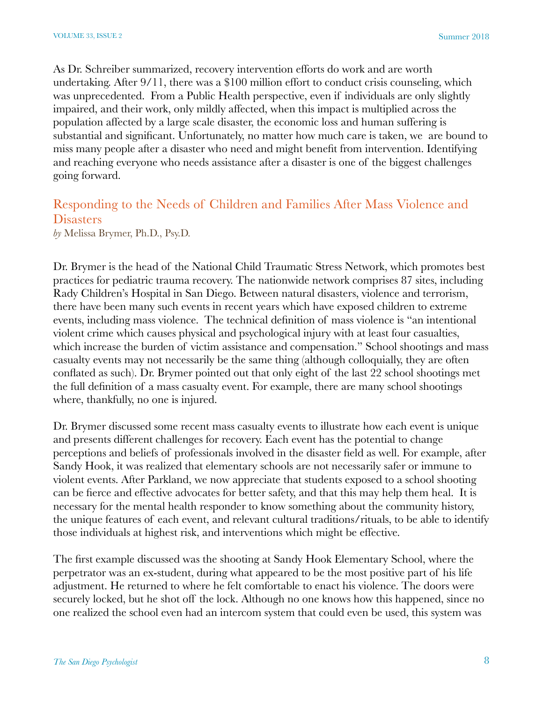As Dr. Schreiber summarized, recovery intervention efforts do work and are worth undertaking. After 9/11, there was a \$100 million effort to conduct crisis counseling, which was unprecedented. From a Public Health perspective, even if individuals are only slightly impaired, and their work, only mildly affected, when this impact is multiplied across the population affected by a large scale disaster, the economic loss and human suffering is substantial and significant. Unfortunately, no matter how much care is taken, we are bound to miss many people after a disaster who need and might benefit from intervention. Identifying and reaching everyone who needs assistance after a disaster is one of the biggest challenges going forward.

# Responding to the Needs of Children and Families After Mass Violence and **Disasters**

*by* Melissa Brymer, Ph.D., Psy.D.

Dr. Brymer is the head of the National Child Traumatic Stress Network, which promotes best practices for pediatric trauma recovery. The nationwide network comprises 87 sites, including Rady Children's Hospital in San Diego. Between natural disasters, violence and terrorism, there have been many such events in recent years which have exposed children to extreme events, including mass violence. The technical definition of mass violence is "an intentional violent crime which causes physical and psychological injury with at least four casualties, which increase the burden of victim assistance and compensation." School shootings and mass casualty events may not necessarily be the same thing (although colloquially, they are often conflated as such). Dr. Brymer pointed out that only eight of the last 22 school shootings met the full definition of a mass casualty event. For example, there are many school shootings where, thankfully, no one is injured.

Dr. Brymer discussed some recent mass casualty events to illustrate how each event is unique and presents different challenges for recovery. Each event has the potential to change perceptions and beliefs of professionals involved in the disaster field as well. For example, after Sandy Hook, it was realized that elementary schools are not necessarily safer or immune to violent events. After Parkland, we now appreciate that students exposed to a school shooting can be fierce and effective advocates for better safety, and that this may help them heal. It is necessary for the mental health responder to know something about the community history, the unique features of each event, and relevant cultural traditions/rituals, to be able to identify those individuals at highest risk, and interventions which might be effective.

The first example discussed was the shooting at Sandy Hook Elementary School, where the perpetrator was an ex-student, during what appeared to be the most positive part of his life adjustment. He returned to where he felt comfortable to enact his violence. The doors were securely locked, but he shot off the lock. Although no one knows how this happened, since no one realized the school even had an intercom system that could even be used, this system was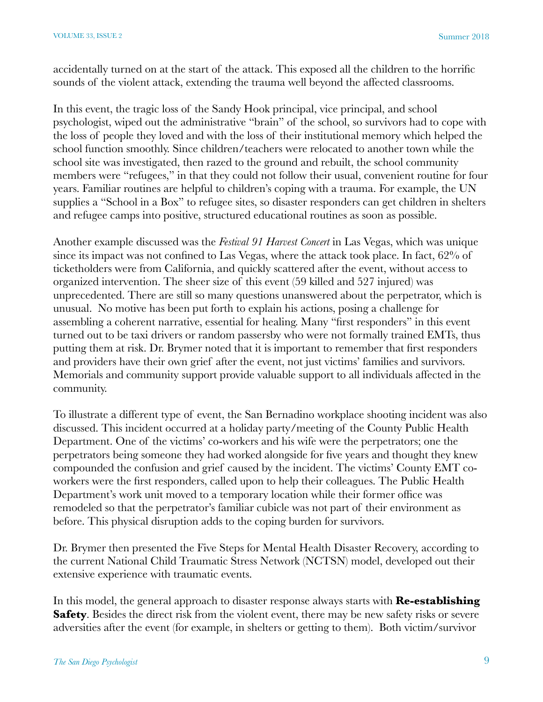accidentally turned on at the start of the attack. This exposed all the children to the horrific sounds of the violent attack, extending the trauma well beyond the affected classrooms.

In this event, the tragic loss of the Sandy Hook principal, vice principal, and school psychologist, wiped out the administrative "brain" of the school, so survivors had to cope with the loss of people they loved and with the loss of their institutional memory which helped the school function smoothly. Since children/teachers were relocated to another town while the school site was investigated, then razed to the ground and rebuilt, the school community members were "refugees," in that they could not follow their usual, convenient routine for four years. Familiar routines are helpful to children's coping with a trauma. For example, the UN supplies a "School in a Box" to refugee sites, so disaster responders can get children in shelters and refugee camps into positive, structured educational routines as soon as possible.

Another example discussed was the *Festival 91 Harvest Concert* in Las Vegas, which was unique since its impact was not confined to Las Vegas, where the attack took place. In fact, 62% of ticketholders were from California, and quickly scattered after the event, without access to organized intervention. The sheer size of this event (59 killed and 527 injured) was unprecedented. There are still so many questions unanswered about the perpetrator, which is unusual. No motive has been put forth to explain his actions, posing a challenge for assembling a coherent narrative, essential for healing. Many "first responders" in this event turned out to be taxi drivers or random passersby who were not formally trained EMTs, thus putting them at risk. Dr. Brymer noted that it is important to remember that first responders and providers have their own grief after the event, not just victims' families and survivors. Memorials and community support provide valuable support to all individuals affected in the community.

To illustrate a different type of event, the San Bernadino workplace shooting incident was also discussed. This incident occurred at a holiday party/meeting of the County Public Health Department. One of the victims' co-workers and his wife were the perpetrators; one the perpetrators being someone they had worked alongside for five years and thought they knew compounded the confusion and grief caused by the incident. The victims' County EMT coworkers were the first responders, called upon to help their colleagues. The Public Health Department's work unit moved to a temporary location while their former office was remodeled so that the perpetrator's familiar cubicle was not part of their environment as before. This physical disruption adds to the coping burden for survivors.

Dr. Brymer then presented the Five Steps for Mental Health Disaster Recovery, according to the current National Child Traumatic Stress Network (NCTSN) model, developed out their extensive experience with traumatic events.

In this model, the general approach to disaster response always starts with **Re-establishing Safety**. Besides the direct risk from the violent event, there may be new safety risks or severe adversities after the event (for example, in shelters or getting to them). Both victim/survivor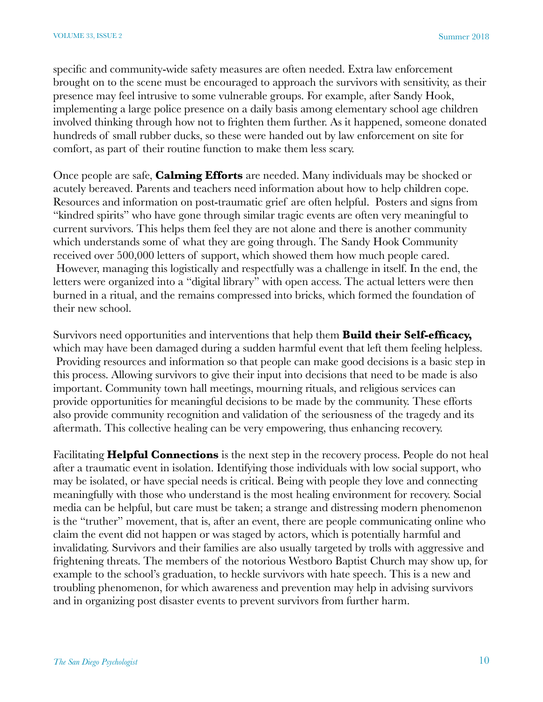specific and community-wide safety measures are often needed. Extra law enforcement brought on to the scene must be encouraged to approach the survivors with sensitivity, as their presence may feel intrusive to some vulnerable groups. For example, after Sandy Hook, implementing a large police presence on a daily basis among elementary school age children involved thinking through how not to frighten them further. As it happened, someone donated hundreds of small rubber ducks, so these were handed out by law enforcement on site for comfort, as part of their routine function to make them less scary.

Once people are safe, **Calming Efforts** are needed. Many individuals may be shocked or acutely bereaved. Parents and teachers need information about how to help children cope. Resources and information on post-traumatic grief are often helpful. Posters and signs from "kindred spirits" who have gone through similar tragic events are often very meaningful to current survivors. This helps them feel they are not alone and there is another community which understands some of what they are going through. The Sandy Hook Community received over 500,000 letters of support, which showed them how much people cared. However, managing this logistically and respectfully was a challenge in itself. In the end, the letters were organized into a "digital library" with open access. The actual letters were then burned in a ritual, and the remains compressed into bricks, which formed the foundation of their new school.

Survivors need opportunities and interventions that help them **Build their Self-efficacy,** which may have been damaged during a sudden harmful event that left them feeling helpless. Providing resources and information so that people can make good decisions is a basic step in this process. Allowing survivors to give their input into decisions that need to be made is also important. Community town hall meetings, mourning rituals, and religious services can provide opportunities for meaningful decisions to be made by the community. These efforts also provide community recognition and validation of the seriousness of the tragedy and its aftermath. This collective healing can be very empowering, thus enhancing recovery.

Facilitating **Helpful Connections** is the next step in the recovery process. People do not heal after a traumatic event in isolation. Identifying those individuals with low social support, who may be isolated, or have special needs is critical. Being with people they love and connecting meaningfully with those who understand is the most healing environment for recovery. Social media can be helpful, but care must be taken; a strange and distressing modern phenomenon is the "truther" movement, that is, after an event, there are people communicating online who claim the event did not happen or was staged by actors, which is potentially harmful and invalidating. Survivors and their families are also usually targeted by trolls with aggressive and frightening threats. The members of the notorious Westboro Baptist Church may show up, for example to the school's graduation, to heckle survivors with hate speech. This is a new and troubling phenomenon, for which awareness and prevention may help in advising survivors and in organizing post disaster events to prevent survivors from further harm.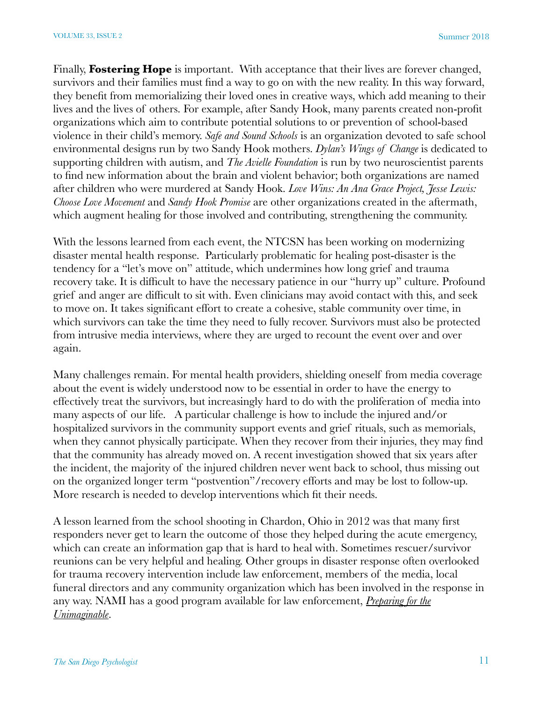Finally, **Fostering Hope** is important. With acceptance that their lives are forever changed, survivors and their families must find a way to go on with the new reality. In this way forward, they benefit from memorializing their loved ones in creative ways, which add meaning to their lives and the lives of others. For example, after Sandy Hook, many parents created non-profit organizations which aim to contribute potential solutions to or prevention of school-based violence in their child's memory. *[Safe and Sound Schools](https://www.safeandsoundschools.org/)* is an organization devoted to safe school environmental designs run by two Sandy Hook mothers. *[Dylan's Wings of Change](https://www.dylanswingsofchange.org/)* is dedicated to supporting children with autism, and *The [Avielle Foundation](https://aviellefoundation.org/about-the-foundation/avielle-rose-richman/)* is run by two neuroscientist parents to find new information about the brain and violent behavior; both organizations are named after children who were murdered at Sandy Hook. *[Love Wins: An Ana Grace Project](http://anagraceproject.org/), [Jesse Lewis:](https://www.jesselewischooselove.org/about-us/)  [Choose Love Movement](https://www.jesselewischooselove.org/about-us/)* and *[Sandy Hook Promise](https://www.sandyhookpromise.org/)* are other organizations created in the aftermath, which augment healing for those involved and contributing, strengthening the community.

With the lessons learned from each event, the NTCSN has been working on modernizing disaster mental health response. Particularly problematic for healing post-disaster is the tendency for a "let's move on" attitude, which undermines how long grief and trauma recovery take. It is difficult to have the necessary patience in our "hurry up" culture. Profound grief and anger are difficult to sit with. Even clinicians may avoid contact with this, and seek to move on. It takes significant effort to create a cohesive, stable community over time, in which survivors can take the time they need to fully recover. Survivors must also be protected from intrusive media interviews, where they are urged to recount the event over and over again.

Many challenges remain. For mental health providers, shielding oneself from media coverage about the event is widely understood now to be essential in order to have the energy to effectively treat the survivors, but increasingly hard to do with the proliferation of media into many aspects of our life. A particular challenge is how to include the injured and/or hospitalized survivors in the community support events and grief rituals, such as memorials, when they cannot physically participate. When they recover from their injuries, they may find that the community has already moved on. A recent investigation showed that six years after the incident, the majority of the injured children never went back to school, thus missing out on the organized longer term "postvention"/recovery efforts and may be lost to follow-up. More research is needed to develop interventions which fit their needs.

A lesson learned from the school shooting in Chardon, Ohio in 2012 was that many first responders never get to learn the outcome of those they helped during the acute emergency, which can create an information gap that is hard to heal with. Sometimes rescuer/survivor reunions can be very helpful and healing. Other groups in disaster response often overlooked for trauma recovery intervention include law enforcement, members of the media, local funeral directors and any community organization which has been involved in the response in any way. NAMI has a good program available for law enforcement, *Preparing for the Unimaginable*.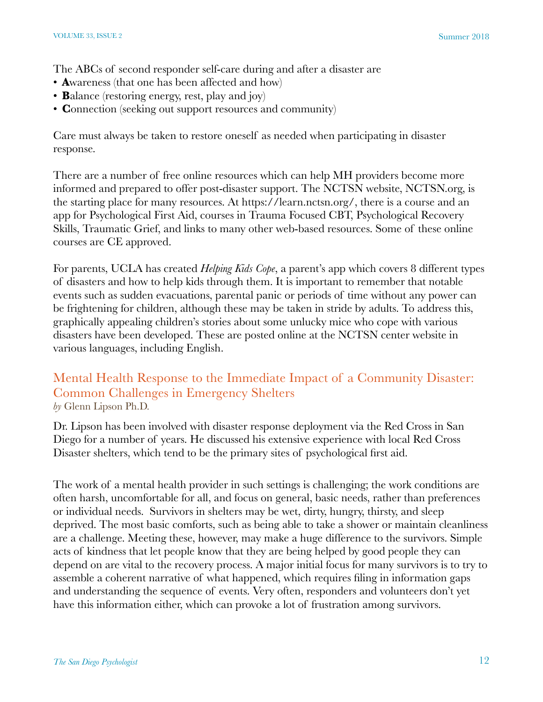The ABCs of second responder self-care during and after a disaster are

- **A**wareness (that one has been affected and how)
- **B**alance (restoring energy, rest, play and joy)
- **C**onnection (seeking out support resources and community)

Care must always be taken to restore oneself as needed when participating in disaster response.

There are a number of free online resources which can help MH providers become more informed and prepared to offer post-disaster support. The NCTSN website, NCTSN.org, is the starting place for many resources. At https://learn.nctsn.org/, there is a course and an app for Psychological First Aid, courses in Trauma Focused CBT, Psychological Recovery Skills, Traumatic Grief, and links to many other web-based resources. Some of these online courses are CE approved.

For parents, UCLA has created *Helping Kids Cope*, a parent's app which covers 8 different types of disasters and how to help kids through them. It is important to remember that notable events such as sudden evacuations, parental panic or periods of time without any power can be frightening for children, although these may be taken in stride by adults. To address this, graphically appealing children's stories about some unlucky mice who cope with various disasters have been developed. These are posted online at the NCTSN center website in various languages, including English.

#### Mental Health Response to the Immediate Impact of a Community Disaster: Common Challenges in Emergency Shelters *by* Glenn Lipson Ph.D.

Dr. Lipson has been involved with disaster response deployment via the Red Cross in San Diego for a number of years. He discussed his extensive experience with local Red Cross Disaster shelters, which tend to be the primary sites of psychological first aid.

The work of a mental health provider in such settings is challenging; the work conditions are often harsh, uncomfortable for all, and focus on general, basic needs, rather than preferences or individual needs. Survivors in shelters may be wet, dirty, hungry, thirsty, and sleep deprived. The most basic comforts, such as being able to take a shower or maintain cleanliness are a challenge. Meeting these, however, may make a huge difference to the survivors. Simple acts of kindness that let people know that they are being helped by good people they can depend on are vital to the recovery process. A major initial focus for many survivors is to try to assemble a coherent narrative of what happened, which requires filing in information gaps and understanding the sequence of events. Very often, responders and volunteers don't yet have this information either, which can provoke a lot of frustration among survivors.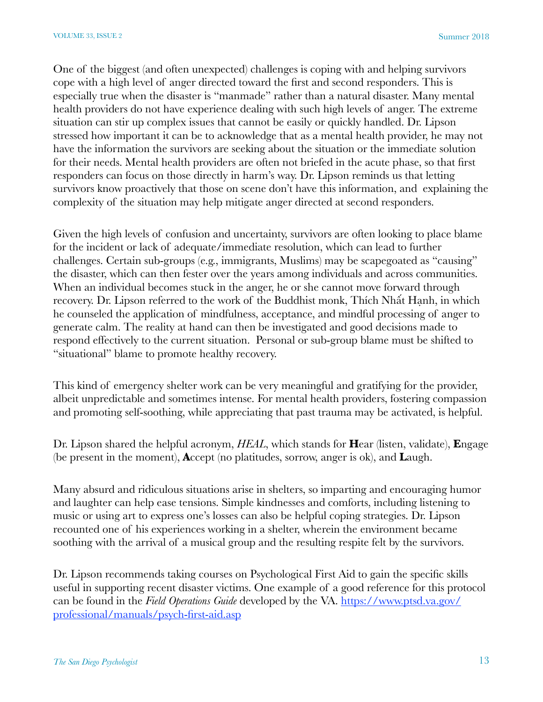One of the biggest (and often unexpected) challenges is coping with and helping survivors cope with a high level of anger directed toward the first and second responders. This is especially true when the disaster is "manmade" rather than a natural disaster. Many mental health providers do not have experience dealing with such high levels of anger. The extreme situation can stir up complex issues that cannot be easily or quickly handled. Dr. Lipson stressed how important it can be to acknowledge that as a mental health provider, he may not have the information the survivors are seeking about the situation or the immediate solution for their needs. Mental health providers are often not briefed in the acute phase, so that first responders can focus on those directly in harm's way. Dr. Lipson reminds us that letting survivors know proactively that those on scene don't have this information, and explaining the complexity of the situation may help mitigate anger directed at second responders.

Given the high levels of confusion and uncertainty, survivors are often looking to place blame for the incident or lack of adequate/immediate resolution, which can lead to further challenges. Certain sub-groups (e.g., immigrants, Muslims) may be scapegoated as "causing" the disaster, which can then fester over the years among individuals and across communities. When an individual becomes stuck in the anger, he or she cannot move forward through recovery. Dr. Lipson referred to the work of the Buddhist monk, Thích Nhất Hạnh, in which he counseled the application of mindfulness, acceptance, and mindful processing of anger to generate calm. The reality at hand can then be investigated and good decisions made to respond effectively to the current situation. Personal or sub-group blame must be shifted to "situational" blame to promote healthy recovery.

This kind of emergency shelter work can be very meaningful and gratifying for the provider, albeit unpredictable and sometimes intense. For mental health providers, fostering compassion and promoting self-soothing, while appreciating that past trauma may be activated, is helpful.

Dr. Lipson shared the helpful acronym, *HEAL*, which stands for **H**ear (listen, validate), **E**ngage (be present in the moment), **A**ccept (no platitudes, sorrow, anger is ok), and **L**augh.

Many absurd and ridiculous situations arise in shelters, so imparting and encouraging humor and laughter can help ease tensions. Simple kindnesses and comforts, including listening to music or using art to express one's losses can also be helpful coping strategies. Dr. Lipson recounted one of his experiences working in a shelter, wherein the environment became soothing with the arrival of a musical group and the resulting respite felt by the survivors.

Dr. Lipson recommends taking courses on Psychological First Aid to gain the specific skills useful in supporting recent disaster victims. One example of a good reference for this protocol can be found in the *Field Operations Guide* developed by the VA. [https://www.ptsd.va.gov/](https://www.ptsd.va.gov/professional/manuals/psych-first-aid.asp) [professional/manuals/psych-first-aid.asp](https://www.ptsd.va.gov/professional/manuals/psych-first-aid.asp)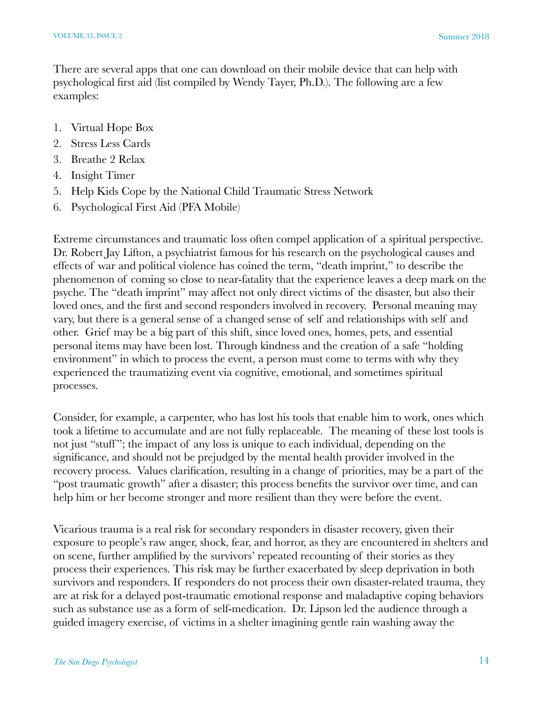There are several apps that one can download on their mobile device that can help with psychological first aid (list compiled by Wendy Tayer, Ph.D.). The following are a few examples:

- 1. Virtual Hope Box
- 2. Stress Less Cards
- 3. Breathe 2 Relax
- 4. Insight Timer
- 5. Help Kids Cope by the National Child Traumatic Stress Network
- 6. Psychological First Aid (PFA Mobile)

Extreme circumstances and traumatic loss often compel application of a spiritual perspective. Dr. Robert Jay Lifton, a psychiatrist famous for his research on the psychological causes and effects of war and political violence has coined the term, "death imprint," to describe the phenomenon of coming so close to near-fatality that the experience leaves a deep mark on the psyche. The "death imprint" may affect not only direct victims of the disaster, but also their loved ones, and the first and second responders involved in recovery. Personal meaning may vary, but there is a general sense of a changed sense of self and relationships with self and other. Grief may be a big part of this shift, since loved ones, homes, pets, and essential personal items may have been lost. Through kindness and the creation of a safe "holding environment" in which to process the event, a person must come to terms with why they experienced the traumatizing event via cognitive, emotional, and sometimes spiritual processes.

Consider, for example, a carpenter, who has lost his tools that enable him to work, ones which took a lifetime to accumulate and are not fully replaceable. The meaning of these lost tools is not just "stuff"; the impact of any loss is unique to each individual, depending on the significance, and should not be prejudged by the mental health provider involved in the recovery process. Values clarification, resulting in a change of priorities, may be a part of the "post traumatic growth" after a disaster; this process benefits the survivor over time, and can help him or her become stronger and more resilient than they were before the event.

Vicarious trauma is a real risk for secondary responders in disaster recovery, given their exposure to people's raw anger, shock, fear, and horror, as they are encountered in shelters and on scene, further amplified by the survivors' repeated recounting of their stories as they process their experiences. This risk may be further exacerbated by sleep deprivation in both survivors and responders. If responders do not process their own disaster-related trauma, they are at risk for a delayed post-traumatic emotional response and maladaptive coping behaviors such as substance use as a form of self-medication. Dr. Lipson led the audience through a guided imagery exercise, of victims in a shelter imagining gentle rain washing away the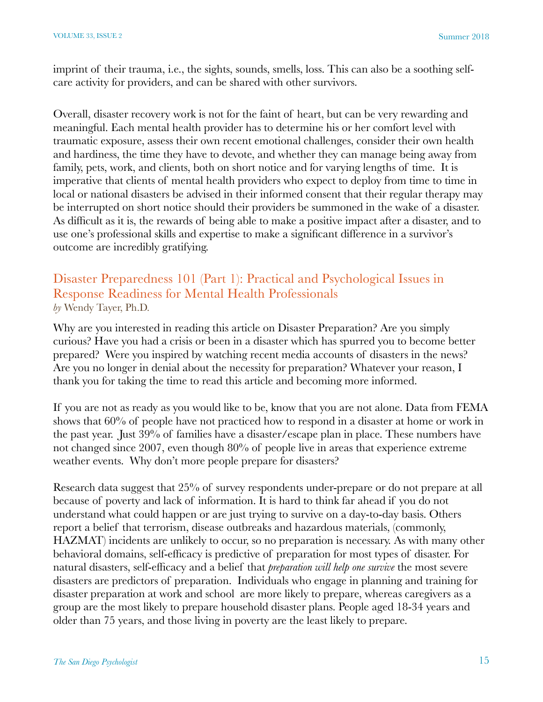imprint of their trauma, i.e., the sights, sounds, smells, loss. This can also be a soothing selfcare activity for providers, and can be shared with other survivors.

Overall, disaster recovery work is not for the faint of heart, but can be very rewarding and meaningful. Each mental health provider has to determine his or her comfort level with traumatic exposure, assess their own recent emotional challenges, consider their own health and hardiness, the time they have to devote, and whether they can manage being away from family, pets, work, and clients, both on short notice and for varying lengths of time. It is imperative that clients of mental health providers who expect to deploy from time to time in local or national disasters be advised in their informed consent that their regular therapy may be interrupted on short notice should their providers be summoned in the wake of a disaster. As difficult as it is, the rewards of being able to make a positive impact after a disaster, and to use one's professional skills and expertise to make a significant difference in a survivor's outcome are incredibly gratifying.

#### Disaster Preparedness 101 (Part 1): Practical and Psychological Issues in Response Readiness for Mental Health Professionals *by* Wendy Tayer, Ph.D.

Why are you interested in reading this article on Disaster Preparation? Are you simply curious? Have you had a crisis or been in a disaster which has spurred you to become better prepared? Were you inspired by watching recent media accounts of disasters in the news? Are you no longer in denial about the necessity for preparation? Whatever your reason, I thank you for taking the time to read this article and becoming more informed.

If you are not as ready as you would like to be, know that you are not alone. Data from FEMA shows that 60% of people have not practiced how to respond in a disaster at home or work in the past year. Just 39% of families have a disaster/escape plan in place. These numbers have not changed since 2007, even though 80% of people live in areas that experience extreme weather events. Why don't more people prepare for disasters?

Research data suggest that 25% of survey respondents under-prepare or do not prepare at all because of poverty and lack of information. It is hard to think far ahead if you do not understand what could happen or are just trying to survive on a day-to-day basis. Others report a belief that terrorism, disease outbreaks and hazardous materials, (commonly, HAZMAT) incidents are unlikely to occur, so no preparation is necessary. As with many other behavioral domains, self-efficacy is predictive of preparation for most types of disaster. For natural disasters, self-efficacy and a belief that *preparation will help one survive* the most severe disasters are predictors of preparation. Individuals who engage in planning and training for disaster preparation at work and school are more likely to prepare, whereas caregivers as a group are the most likely to prepare household disaster plans. People aged 18-34 years and older than 75 years, and those living in poverty are the least likely to prepare.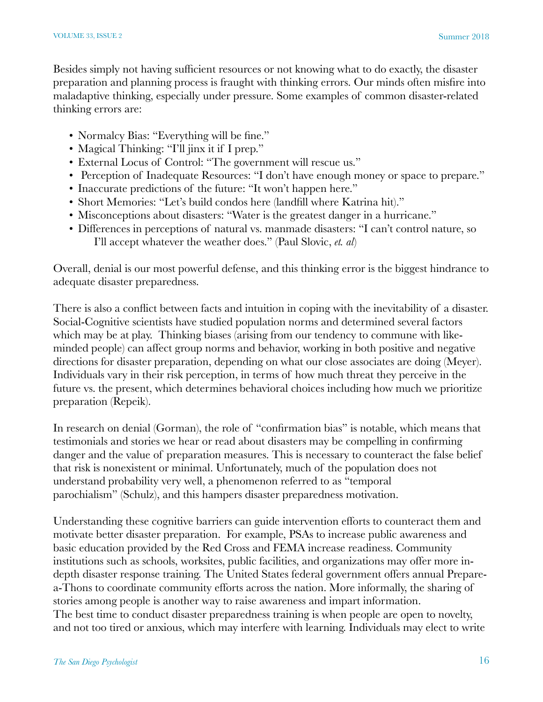Besides simply not having sufficient resources or not knowing what to do exactly, the disaster preparation and planning process is fraught with thinking errors. Our minds often misfire into maladaptive thinking, especially under pressure. Some examples of common disaster-related thinking errors are:

- Normalcy Bias: "Everything will be fine."
- Magical Thinking: "I'll jinx it if I prep."
- External Locus of Control: "The government will rescue us."
- Perception of Inadequate Resources: "I don't have enough money or space to prepare."
- Inaccurate predictions of the future: "It won't happen here."
- Short Memories: "Let's build condos here (landfill where Katrina hit)."
- Misconceptions about disasters: "Water is the greatest danger in a hurricane."
- Differences in perceptions of natural vs. manmade disasters: "I can't control nature, so I'll accept whatever the weather does." (Paul Slovic, *et. al*)

Overall, denial is our most powerful defense, and this thinking error is the biggest hindrance to adequate disaster preparedness.

There is also a conflict between facts and intuition in coping with the inevitability of a disaster. Social-Cognitive scientists have studied population norms and determined several factors which may be at play. Thinking biases (arising from our tendency to commune with likeminded people) can affect group norms and behavior, working in both positive and negative directions for disaster preparation, depending on what our close associates are doing (Meyer). Individuals vary in their risk perception, in terms of how much threat they perceive in the future vs. the present, which determines behavioral choices including how much we prioritize preparation (Repeik).

In research on denial (Gorman), the role of "confirmation bias" is notable, which means that testimonials and stories we hear or read about disasters may be compelling in confirming danger and the value of preparation measures. This is necessary to counteract the false belief that risk is nonexistent or minimal. Unfortunately, much of the population does not understand probability very well, a phenomenon referred to as "temporal parochialism" (Schulz), and this hampers disaster preparedness motivation.

Understanding these cognitive barriers can guide intervention efforts to counteract them and motivate better disaster preparation. For example, PSAs to increase public awareness and basic education provided by the Red Cross and FEMA increase readiness. Community institutions such as schools, worksites, public facilities, and organizations may offer more indepth disaster response training. The United States federal government offers annual Preparea-Thons to coordinate community efforts across the nation. More informally, the sharing of stories among people is another way to raise awareness and impart information. The best time to conduct disaster preparedness training is when people are open to novelty, and not too tired or anxious, which may interfere with learning. Individuals may elect to write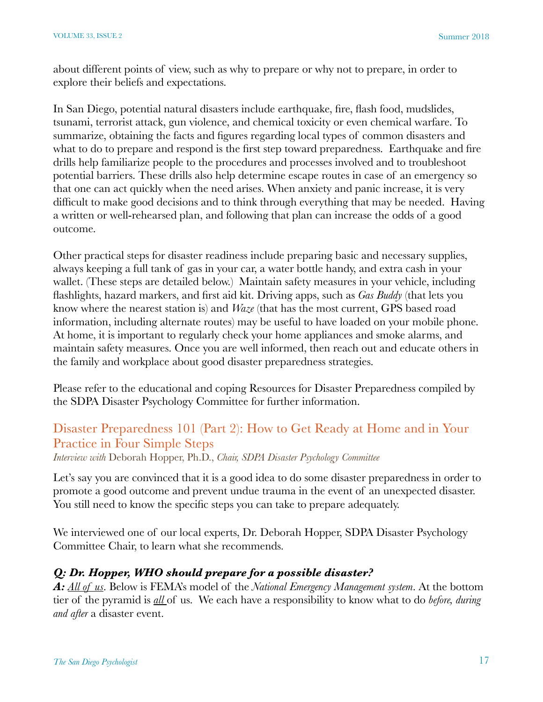about different points of view, such as why to prepare or why not to prepare, in order to explore their beliefs and expectations.

In San Diego, potential natural disasters include earthquake, fire, flash food, mudslides, tsunami, terrorist attack, gun violence, and chemical toxicity or even chemical warfare. To summarize, obtaining the facts and figures regarding local types of common disasters and what to do to prepare and respond is the first step toward preparedness. Earthquake and fire drills help familiarize people to the procedures and processes involved and to troubleshoot potential barriers. These drills also help determine escape routes in case of an emergency so that one can act quickly when the need arises. When anxiety and panic increase, it is very difficult to make good decisions and to think through everything that may be needed. Having a written or well-rehearsed plan, and following that plan can increase the odds of a good outcome.

Other practical steps for disaster readiness include preparing basic and necessary supplies, always keeping a full tank of gas in your car, a water bottle handy, and extra cash in your wallet. (These steps are detailed below.) Maintain safety measures in your vehicle, including flashlights, hazard markers, and first aid kit. Driving apps, such as *Gas Buddy* (that lets you know where the nearest station is) and *Waze* (that has the most current, GPS based road information, including alternate routes) may be useful to have loaded on your mobile phone. At home, it is important to regularly check your home appliances and smoke alarms, and maintain safety measures. Once you are well informed, then reach out and educate others in the family and workplace about good disaster preparedness strategies.

Please refer to the educational and coping Resources for Disaster Preparedness compiled by the SDPA Disaster Psychology Committee for further information.

# Disaster Preparedness 101 (Part 2): How to Get Ready at Home and in Your Practice in Four Simple Steps

*Interview with* Deborah Hopper, Ph.D., *Chair, SDPA Disaster Psychology Committee* 

Let's say you are convinced that it is a good idea to do some disaster preparedness in order to promote a good outcome and prevent undue trauma in the event of an unexpected disaster. You still need to know the specific steps you can take to prepare adequately.

We interviewed one of our local experts, Dr. Deborah Hopper, SDPA Disaster Psychology Committee Chair, to learn what she recommends.

#### *Q: Dr. Hopper, WHO should prepare for a possible disaster?*

*A: All of us*. Below is FEMA's model of the *National Emergency Management system*. At the bottom tier of the pyramid is *all* of us. We each have a responsibility to know what to do *before, during and after* a disaster event.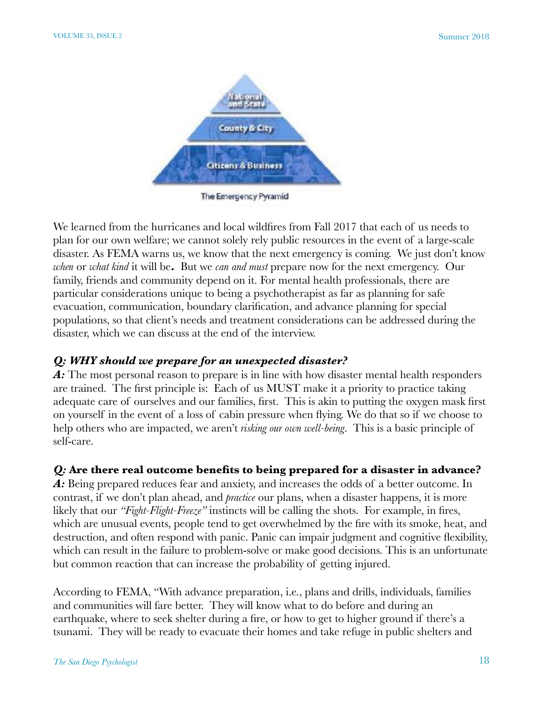

The Emergency Pyramid

We learned from the hurricanes and local wildfires from Fall 2017 that each of us needs to plan for our own welfare; we cannot solely rely public resources in the event of a large-scale disaster. As FEMA warns us, we know that the next emergency is coming. We just don't know *when* or *what kind* it will be**.** But we *can and must* prepare now for the next emergency. Our family, friends and community depend on it. For mental health professionals, there are particular considerations unique to being a psychotherapist as far as planning for safe evacuation, communication, boundary clarification, and advance planning for special populations, so that client's needs and treatment considerations can be addressed during the disaster, which we can discuss at the end of the interview.

#### *Q: WHY should we prepare for an unexpected disaster?*

A: The most personal reason to prepare is in line with how disaster mental health responders are trained. The first principle is: Each of us MUST make it a priority to practice taking adequate care of ourselves and our families, first. This is akin to putting the oxygen mask first on yourself in the event of a loss of cabin pressure when flying. We do that so if we choose to help others who are impacted, we aren't *risking our own well-being*. This is a basic principle of self-care.

### *Q:* **Are there real outcome benefits to being prepared for a disaster in advance?**

A: Being prepared reduces fear and anxiety, and increases the odds of a better outcome. In contrast, if we don't plan ahead, and *practice* our plans, when a disaster happens, it is more likely that our *"Fight-Flight-Freeze"* instincts will be calling the shots. For example, in fires, which are unusual events, people tend to get overwhelmed by the fire with its smoke, heat, and destruction, and often respond with panic. Panic can impair judgment and cognitive flexibility, which can result in the failure to problem-solve or make good decisions. This is an unfortunate but common reaction that can increase the probability of getting injured.

According to FEMA, "With advance preparation, i.e., plans and drills, individuals, families and communities will fare better. They will know what to do before and during an earthquake, where to seek shelter during a fire, or how to get to higher ground if there's a tsunami. They will be ready to evacuate their homes and take refuge in public shelters and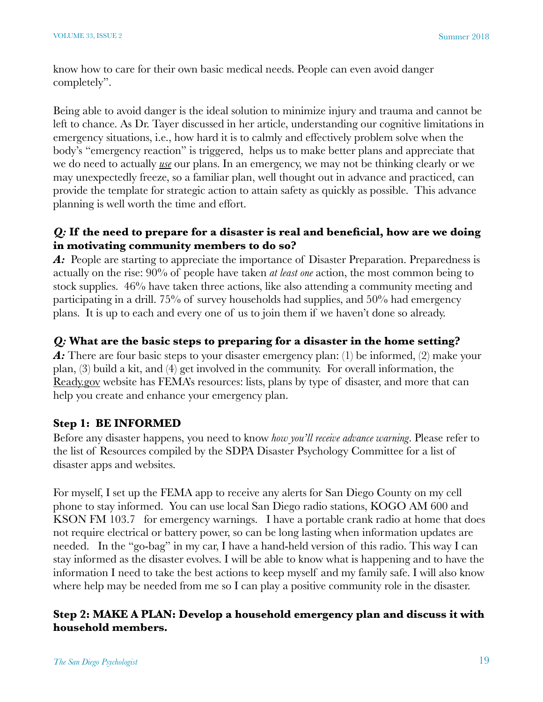know how to care for their own basic medical needs. People can even avoid danger completely".

Being able to avoid danger is the ideal solution to minimize injury and trauma and cannot be left to chance. As Dr. Tayer discussed in her article, understanding our cognitive limitations in emergency situations, i.e., how hard it is to calmly and effectively problem solve when the body's "emergency reaction" is triggered, helps us to make better plans and appreciate that we do need to actually *use* our plans. In an emergency, we may not be thinking clearly or we may unexpectedly freeze, so a familiar plan, well thought out in advance and practiced, can provide the template for strategic action to attain safety as quickly as possible. This advance planning is well worth the time and effort.

#### *Q:* **If the need to prepare for a disaster is real and beneficial, how are we doing in motivating community members to do so?**

A: People are starting to appreciate the importance of Disaster Preparation. Preparedness is actually on the rise: 90% of people have taken *at least one* action, the most common being to stock supplies. 46% have taken three actions, like also attending a community meeting and participating in a drill. 75% of survey households had supplies, and 50% had emergency plans. It is up to each and every one of us to join them if we haven't done so already.

### *Q:* **What are the basic steps to preparing for a disaster in the home setting?**

A: There are four basic steps to your disaster emergency plan: (1) be informed, (2) make your plan, (3) build a kit, and (4) get involved in the community. For overall information, the Ready.gov website has FEMA's resources: lists, plans by type of disaster, and more that can help you create and enhance your emergency plan.

### **Step 1: BE INFORMED**

Before any disaster happens, you need to know *how you'll receive advance warning*. Please refer to the list of Resources compiled by the SDPA Disaster Psychology Committee for a list of disaster apps and websites.

For myself, I set up the FEMA app to receive any alerts for San Diego County on my cell phone to stay informed. You can use local San Diego radio stations, KOGO AM 600 and KSON FM 103.7 for emergency warnings. I have a portable crank radio at home that does not require electrical or battery power, so can be long lasting when information updates are needed. In the "go-bag" in my car, I have a hand-held version of this radio. This way I can stay informed as the disaster evolves. I will be able to know what is happening and to have the information I need to take the best actions to keep myself and my family safe. I will also know where help may be needed from me so I can play a positive community role in the disaster.

#### **Step 2: MAKE A PLAN: Develop a household emergency plan and discuss it with household members.**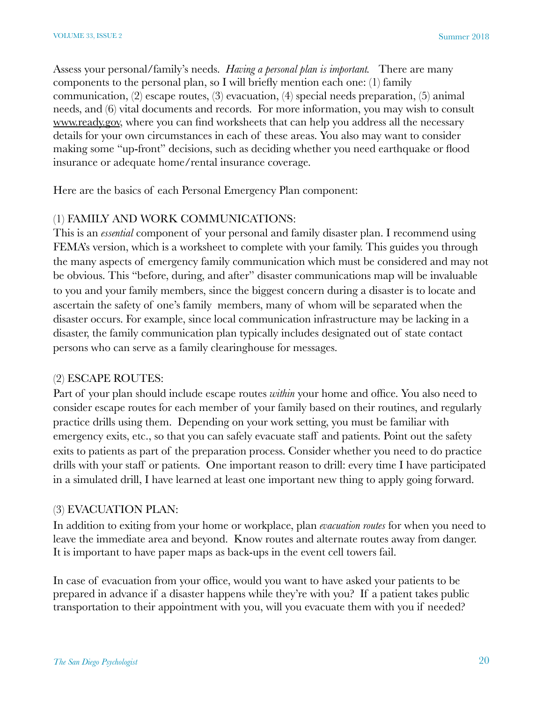Assess your personal/family's needs. *Having a personal plan is important.* There are many components to the personal plan, so I will briefly mention each one: (1) family communication, (2) escape routes, (3) evacuation, (4) special needs preparation, (5) animal needs, and (6) vital documents and records. For more information, you may wish to consult [www.ready.gov,](http://www.ready.gov) where you can find worksheets that can help you address all the necessary details for your own circumstances in each of these areas. You also may want to consider making some "up-front" decisions, such as deciding whether you need earthquake or flood insurance or adequate home/rental insurance coverage.

Here are the basics of each Personal Emergency Plan component:

#### (1) FAMILY AND WORK COMMUNICATIONS:

This is an *essential* component of your personal and family disaster plan. I recommend using FEMA's version, which is a worksheet to complete with your family. This guides you through the many aspects of emergency family communication which must be considered and may not be obvious. This "before, during, and after" disaster communications map will be invaluable to you and your family members, since the biggest concern during a disaster is to locate and ascertain the safety of one's family members, many of whom will be separated when the disaster occurs. For example, since local communication infrastructure may be lacking in a disaster, the family communication plan typically includes designated out of state contact persons who can serve as a family clearinghouse for messages.

#### (2) ESCAPE ROUTES:

Part of your plan should include escape routes *within* your home and office. You also need to consider escape routes for each member of your family based on their routines, and regularly practice drills using them. Depending on your work setting, you must be familiar with emergency exits, etc., so that you can safely evacuate staff and patients. Point out the safety exits to patients as part of the preparation process. Consider whether you need to do practice drills with your staff or patients. One important reason to drill: every time I have participated in a simulated drill, I have learned at least one important new thing to apply going forward.

#### (3) EVACUATION PLAN:

In addition to exiting from your home or workplace, plan *evacuation routes* for when you need to leave the immediate area and beyond. Know routes and alternate routes away from danger. It is important to have paper maps as back-ups in the event cell towers fail.

In case of evacuation from your office, would you want to have asked your patients to be prepared in advance if a disaster happens while they're with you? If a patient takes public transportation to their appointment with you, will you evacuate them with you if needed?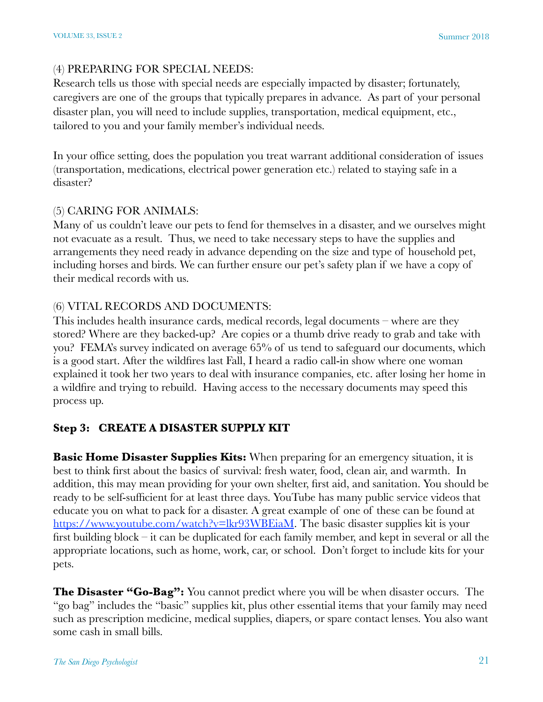#### (4) PREPARING FOR SPECIAL NEEDS:

Research tells us those with special needs are especially impacted by disaster; fortunately, caregivers are one of the groups that typically prepares in advance. As part of your personal disaster plan, you will need to include supplies, transportation, medical equipment, etc., tailored to you and your family member's individual needs.

In your office setting, does the population you treat warrant additional consideration of issues (transportation, medications, electrical power generation etc.) related to staying safe in a disaster?

#### (5) CARING FOR ANIMALS:

Many of us couldn't leave our pets to fend for themselves in a disaster, and we ourselves might not evacuate as a result. Thus, we need to take necessary steps to have the supplies and arrangements they need ready in advance depending on the size and type of household pet, including horses and birds. We can further ensure our pet's safety plan if we have a copy of their medical records with us.

#### (6) VITAL RECORDS AND DOCUMENTS:

This includes health insurance cards, medical records, legal documents – where are they stored? Where are they backed-up? Are copies or a thumb drive ready to grab and take with you? FEMA's survey indicated on average 65% of us tend to safeguard our documents, which is a good start. After the wildfires last Fall, I heard a radio call-in show where one woman explained it took her two years to deal with insurance companies, etc. after losing her home in a wildfire and trying to rebuild. Having access to the necessary documents may speed this process up.

### **Step 3: CREATE A DISASTER SUPPLY KIT**

**Basic Home Disaster Supplies Kits:** When preparing for an emergency situation, it is best to think first about the basics of survival: fresh water, food, clean air, and warmth. In addition, this may mean providing for your own shelter, first aid, and sanitation. You should be ready to be self-sufficient for at least three days. YouTube has many public service videos that educate you on what to pack for a disaster. A great example of one of these can be found at [https://www.youtube.com/watch?v=lkr93WBEiaM.](https://www.youtube.com/watch?v=lkr93WBEiaM) The basic disaster supplies kit is your first building block – it can be duplicated for each family member, and kept in several or all the appropriate locations, such as home, work, car, or school. Don't forget to include kits for your pets.

**The Disaster "Go-Bag":** You cannot predict where you will be when disaster occurs. The "go bag" includes the "basic" supplies kit, plus other essential items that your family may need such as prescription medicine, medical supplies, diapers, or spare contact lenses. You also want some cash in small bills.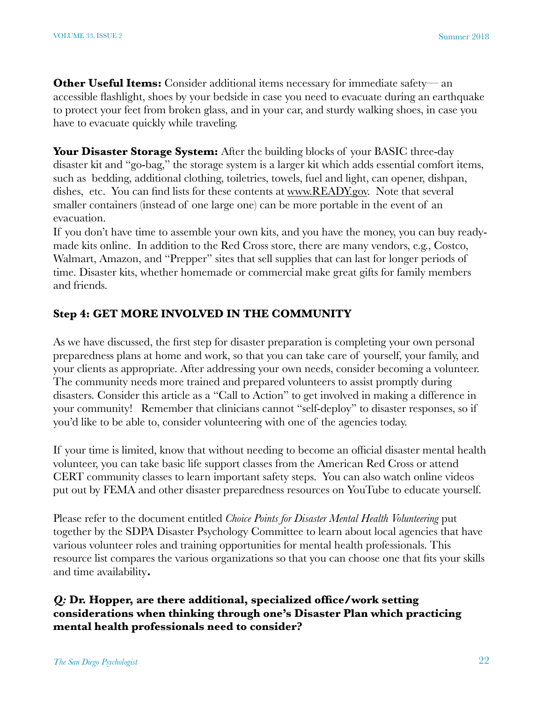**Other Useful Items:** Consider additional items necessary for immediate safety— an accessible flashlight, shoes by your bedside in case you need to evacuate during an earthquake to protect your feet from broken glass, and in your car, and sturdy walking shoes, in case you have to evacuate quickly while traveling.

Your Disaster Storage System: After the building blocks of your BASIC three-day disaster kit and "go-bag," the storage system is a larger kit which adds essential comfort items, such as bedding, additional clothing, toiletries, towels, fuel and light, can opener, dishpan, dishes, etc. You can find lists for these contents at [www.READY.gov.](http://www.READY.gov) Note that several smaller containers (instead of one large one) can be more portable in the event of an evacuation.

If you don't have time to assemble your own kits, and you have the money, you can buy readymade kits online. In addition to the Red Cross store, there are many vendors, e.g., Costco, Walmart, Amazon, and "Prepper" sites that sell supplies that can last for longer periods of time. Disaster kits, whether homemade or commercial make great gifts for family members and friends.

#### **Step 4: GET MORE INVOLVED IN THE COMMUNITY**

As we have discussed, the first step for disaster preparation is completing your own personal preparedness plans at home and work, so that you can take care of yourself, your family, and your clients as appropriate. After addressing your own needs, consider becoming a volunteer. The community needs more trained and prepared volunteers to assist promptly during disasters. Consider this article as a "Call to Action" to get involved in making a difference in your community! Remember that clinicians cannot "self-deploy" to disaster responses, so if you'd like to be able to, consider volunteering with one of the agencies today.

If your time is limited, know that without needing to become an official disaster mental health volunteer, you can take basic life support classes from the American Red Cross or attend CERT community classes to learn important safety steps. You can also watch online videos put out by FEMA and other disaster preparedness resources on YouTube to educate yourself.

Please refer to the document entitled *Choice Points for Disaster Mental Health Volunteering* put together by the SDPA Disaster Psychology Committee to learn about local agencies that have various volunteer roles and training opportunities for mental health professionals. This resource list compares the various organizations so that you can choose one that fits your skills and time availability**.** 

#### *Q:* **Dr. Hopper, are there additional, specialized office/work setting considerations when thinking through one's Disaster Plan which practicing mental health professionals need to consider?**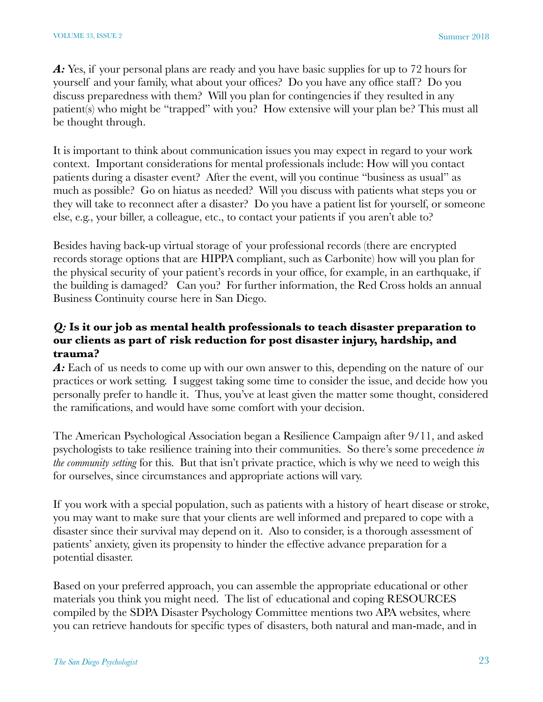A: Yes, if your personal plans are ready and you have basic supplies for up to 72 hours for yourself and your family, what about your offices? Do you have any office staff ? Do you discuss preparedness with them? Will you plan for contingencies if they resulted in any patient(s) who might be "trapped" with you? How extensive will your plan be? This must all be thought through.

It is important to think about communication issues you may expect in regard to your work context.Important considerations for mental professionals include: How will you contact patients during a disaster event? After the event, will you continue "business as usual" as much as possible? Go on hiatus as needed? Will you discuss with patients what steps you or they will take to reconnect after a disaster? Do you have a patient list for yourself, or someone else, e.g., your biller, a colleague, etc., to contact your patients if you aren't able to?

Besides having back-up virtual storage of your professional records (there are encrypted records storage options that are HIPPA compliant, such as Carbonite) how will you plan for the physical security of your patient's records in your office, for example, in an earthquake, if the building is damaged? Can you? For further information, the Red Cross holds an annual Business Continuity course here in San Diego.

#### *Q:* **Is it our job as mental health professionals to teach disaster preparation to our clients as part of risk reduction for post disaster injury, hardship, and trauma?**

A: Each of us needs to come up with our own answer to this, depending on the nature of our practices or work setting. I suggest taking some time to consider the issue, and decide how you personally prefer to handle it. Thus, you've at least given the matter some thought, considered the ramifications, and would have some comfort with your decision.

The American Psychological Association began a Resilience Campaign after 9/11, and asked psychologists to take resilience training into their communities. So there's some precedence *in the community setting* for this. But that isn't private practice, which is why we need to weigh this for ourselves, since circumstances and appropriate actions will vary.

If you work with a special population, such as patients with a history of heart disease or stroke, you may want to make sure that your clients are well informed and prepared to cope with a disaster since their survival may depend on it. Also to consider, is a thorough assessment of patients' anxiety, given its propensity to hinder the effective advance preparation for a potential disaster.

Based on your preferred approach, you can assemble the appropriate educational or other materials you think you might need. The list of educational and coping RESOURCES compiled by the SDPA Disaster Psychology Committee mentions two APA websites, where you can retrieve handouts for specific types of disasters, both natural and man-made, and in